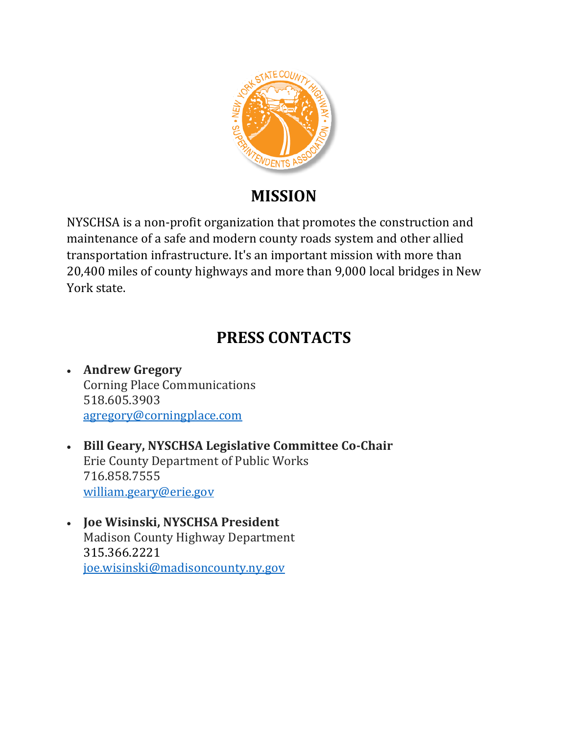

# **MISSION**

NYSCHSA is a non-profit organization that promotes the construction and maintenance of a safe and modern county roads system and other allied transportation infrastructure. It's an important mission with more than 20,400 miles of county highways and more than 9,000 local bridges in New York state.

# **PRESS CONTACTS**

- **Andrew Gregory** Corning Place Communications 518.605.3903 [agregory@corningplace.com](mailto:agregory@corningplace.com)
- **Bill Geary, NYSCHSA Legislative Committee Co-Chair** Erie County Department of Public Works 716.858.7555 [william.geary@erie.gov](mailto:william.geary@erie.gov)
- **Joe Wisinski, NYSCHSA President** Madison County Highway Department 315.366.2221 [joe.wisinski@madisoncounty.ny.gov](mailto:joe.wisinski@madisoncounty.ny.gov)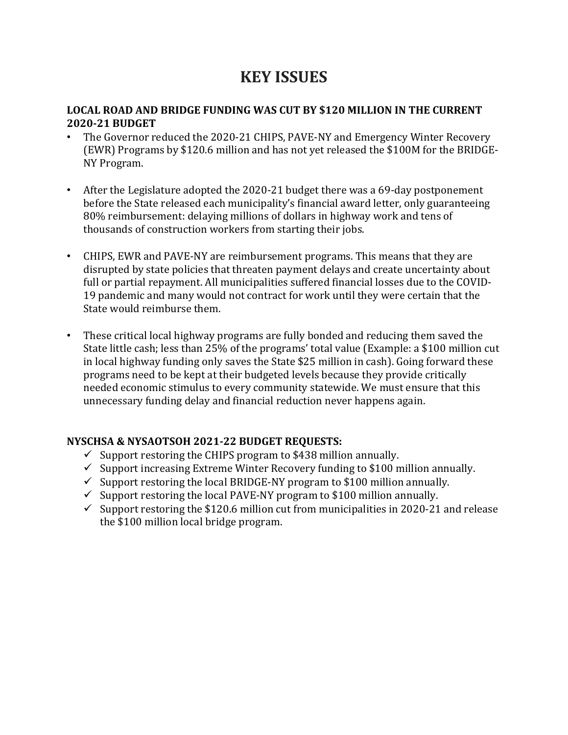## **KEY ISSUES**

#### **LOCAL ROAD AND BRIDGE FUNDING WAS CUT BY \$120 MILLION IN THE CURRENT 2020-21 BUDGET**

- The Governor reduced the 2020-21 CHIPS, PAVE-NY and Emergency Winter Recovery (EWR) Programs by \$120.6 million and has not yet released the \$100M for the BRIDGE-NY Program.
- After the Legislature adopted the 2020-21 budget there was a 69-day postponement before the State released each municipality's financial award letter, only guaranteeing 80% reimbursement: delaying millions of dollars in highway work and tens of thousands of construction workers from starting their jobs.
- CHIPS, EWR and PAVE-NY are reimbursement programs. This means that they are disrupted by state policies that threaten payment delays and create uncertainty about full or partial repayment. All municipalities suffered financial losses due to the COVID-19 pandemic and many would not contract for work until they were certain that the State would reimburse them.
- These critical local highway programs are fully bonded and reducing them saved the State little cash; less than 25% of the programs' total value (Example: a \$100 million cut in local highway funding only saves the State \$25 million in cash). Going forward these programs need to be kept at their budgeted levels because they provide critically needed economic stimulus to every community statewide. We must ensure that this unnecessary funding delay and financial reduction never happens again.

#### **NYSCHSA & NYSAOTSOH 2021-22 BUDGET REQUESTS:**

- $\checkmark$  Support restoring the CHIPS program to \$438 million annually.
- $\checkmark$  Support increasing Extreme Winter Recovery funding to \$100 million annually.
- $\checkmark$  Support restoring the local BRIDGE-NY program to \$100 million annually.
- $\checkmark$  Support restoring the local PAVE-NY program to \$100 million annually.
- $\checkmark$  Support restoring the \$120.6 million cut from municipalities in 2020-21 and release the \$100 million local bridge program.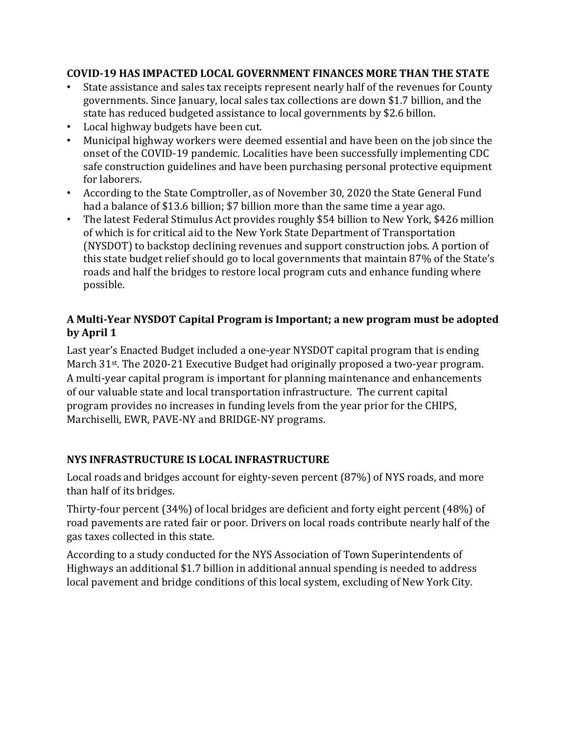#### **COVID-19 HAS IMPACTED LOCAL GOVERNMENT FINANCES MORE THAN THE STATE**

- State assistance and sales tax receipts represent nearly half of the revenues for County governments. Since January, local sales tax collections are down \$1.7 billion, and the state has reduced budgeted assistance to local governments by \$2.6 billon.
- Local highway budgets have been cut.
- Municipal highway workers were deemed essential and have been on the job since the onset of the COVID-19 pandemic. Localities have been successfully implementing CDC safe construction guidelines and have been purchasing personal protective equipment for laborers.
- According to the State Comptroller, as of November 30, 2020 the State General Fund had a balance of \$13.6 billion; \$7 billion more than the same time a year ago.
- The latest Federal Stimulus Act provides roughly \$54 billion to New York, \$426 million of which is for critical aid to the New York State Department of Transportation (NYSDOT) to backstop declining revenues and support construction jobs. A portion of this state budget relief should go to local governments that maintain 87% of the State's roads and half the bridges to restore local program cuts and enhance funding where possible.

#### **A Multi-Year NYSDOT Capital Program is Important; a new program must be adopted by April 1**

Last year's Enacted Budget included a one-year NYSDOT capital program that is ending March 31st. The 2020-21 Executive Budget had originally proposed a two-year program. A multi-year capital program is important for planning maintenance and enhancements of our valuable state and local transportation infrastructure. The current capital program provides no increases in funding levels from the year prior for the CHIPS, Marchiselli, EWR, PAVE-NY and BRIDGE-NY programs.

## **NYS INFRASTRUCTURE IS LOCAL INFRASTRUCTURE**

Local roads and bridges account for eighty-seven percent (87%) of NYS roads, and more than half of its bridges.

Thirty-four percent (34%) of local bridges are deficient and forty eight percent (48%) of road pavements are rated fair or poor. Drivers on local roads contribute nearly half of the gas taxes collected in this state.

According to a study conducted for the NYS Association of Town Superintendents of Highways an additional \$1.7 billion in additional annual spending is needed to address local pavement and bridge conditions of this local system, excluding of New York City.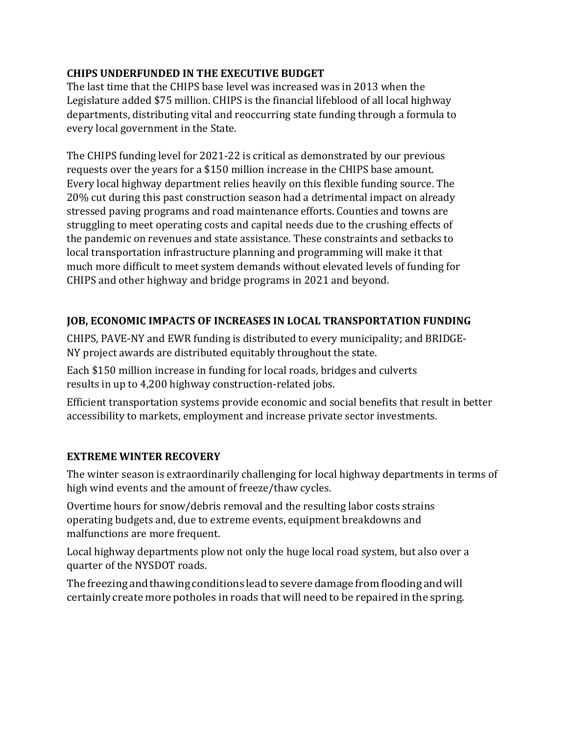#### **CHIPS UNDERFUNDED IN THE EXECUTIVE BUDGET**

The last time that the CHIPS base level was increased was in 2013 when the Legislature added \$75 million. CHIPS is the financial lifeblood of all local highway departments, distributing vital and reoccurring state funding through a formula to every local government in the State.

The CHIPS funding level for 2021-22 is critical as demonstrated by our previous requests over the years for a \$150 million increase in the CHIPS base amount. Every local highway department relies heavily on this flexible funding source. The 20% cut during this past construction season had a detrimental impact on already stressed paving programs and road maintenance efforts. Counties and towns are struggling to meet operating costs and capital needs due to the crushing effects of the pandemic on revenues and state assistance. These constraints and setbacks to local transportation infrastructure planning and programming will make it that much more difficult to meet system demands without elevated levels of funding for CHIPS and other highway and bridge programs in 2021 and beyond.

#### **JOB, ECONOMIC IMPACTS OF INCREASES IN LOCAL TRANSPORTATION FUNDING**

CHIPS, PAVE-NY and EWR funding is distributed to every municipality; and BRIDGE-NY project awards are distributed equitably throughout the state.

Each \$150 million increase in funding for local roads, bridges and culverts results in up to 4,200 highway construction-related jobs.

Efficient transportation systems provide economic and social benefits that result in better accessibility to markets, employment and increase private sector investments.

## **EXTREME WINTER RECOVERY**

The winter season is extraordinarily challenging for local highway departments in terms of high wind events and the amount of freeze/thaw cycles.

Overtime hours for snow/debris removal and the resulting labor costs strains operating budgets and, due to extreme events, equipment breakdowns and malfunctions are more frequent.

Local highway departments plow not only the huge local road system, but also over a quarter of the NYSDOT roads.

The freezing and thawing conditions lead to severe damage from flooding and will certainly create more potholes in roads that will need to be repaired in the spring.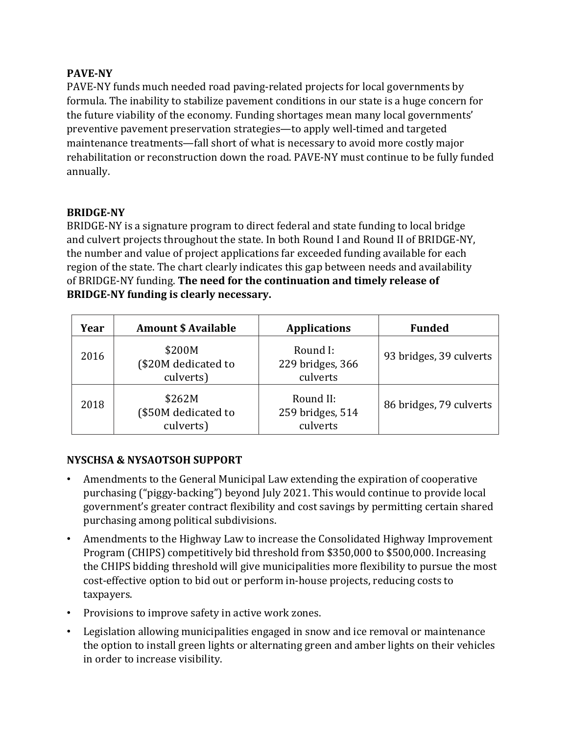#### **PAVE-NY**

PAVE-NY funds much needed road paving-related projects for local governments by formula. The inability to stabilize pavement conditions in our state is a huge concern for the future viability of the economy. Funding shortages mean many local governments' preventive pavement preservation strategies—to apply well-timed and targeted maintenance treatments—fall short of what is necessary to avoid more costly major rehabilitation or reconstruction down the road. PAVE-NY must continue to be fully funded annually.

#### **BRIDGE-NY**

BRIDGE-NY is a signature program to direct federal and state funding to local bridge and culvert projects throughout the state. In both Round I and Round II of BRIDGE-NY, the number and value of project applications far exceeded funding available for each region of the state. The chart clearly indicates this gap between needs and availability of BRIDGE-NY funding. **The need for the continuation and timely release of BRIDGE-NY funding is clearly necessary.**

| Year | <b>Amount \$ Available</b>                 | <b>Applications</b>                       | <b>Funded</b>           |
|------|--------------------------------------------|-------------------------------------------|-------------------------|
| 2016 | \$200M<br>(\$20M dedicated to<br>culverts) | Round I:<br>229 bridges, 366<br>culverts  | 93 bridges, 39 culverts |
| 2018 | \$262M<br>(\$50M dedicated to<br>culverts) | Round II:<br>259 bridges, 514<br>culverts | 86 bridges, 79 culverts |

#### **NYSCHSA & NYSAOTSOH SUPPORT**

- Amendments to the General Municipal Law extending the expiration of cooperative purchasing ("piggy-backing") beyond July 2021. This would continue to provide local government's greater contract flexibility and cost savings by permitting certain shared purchasing among political subdivisions.
- Amendments to the Highway Law to increase the Consolidated Highway Improvement Program (CHIPS) competitively bid threshold from \$350,000 to \$500,000. Increasing the CHIPS bidding threshold will give municipalities more flexibility to pursue the most cost-effective option to bid out or perform in-house projects, reducing costs to taxpayers.
- Provisions to improve safety in active work zones.
- Legislation allowing municipalities engaged in snow and ice removal or maintenance the option to install green lights or alternating green and amber lights on their vehicles in order to increase visibility.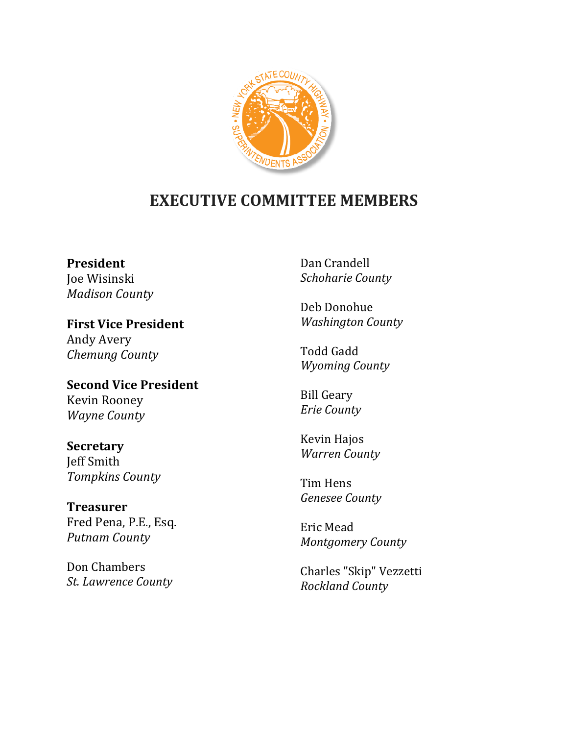

## **EXECUTIVE COMMITTEE MEMBERS**

**President** Joe Wisinski *Madison County*

**First Vice President** Andy Avery *Chemung County*

**Second Vice President** Kevin Rooney *Wayne County*

**Secretary** Jeff Smith *Tompkins County*

**Treasurer**  Fred Pena, P.E., Esq. *Putnam County*

Don Chambers *St. Lawrence County* Dan Crandell *Schoharie County*

Deb Donohue *Washington County*

Todd Gadd *Wyoming County*

Bill Geary *Erie County*

Kevin Hajos *Warren County*

Tim Hens *Genesee County*

Eric Mead *Montgomery County*

Charles "Skip" Vezzetti *Rockland County*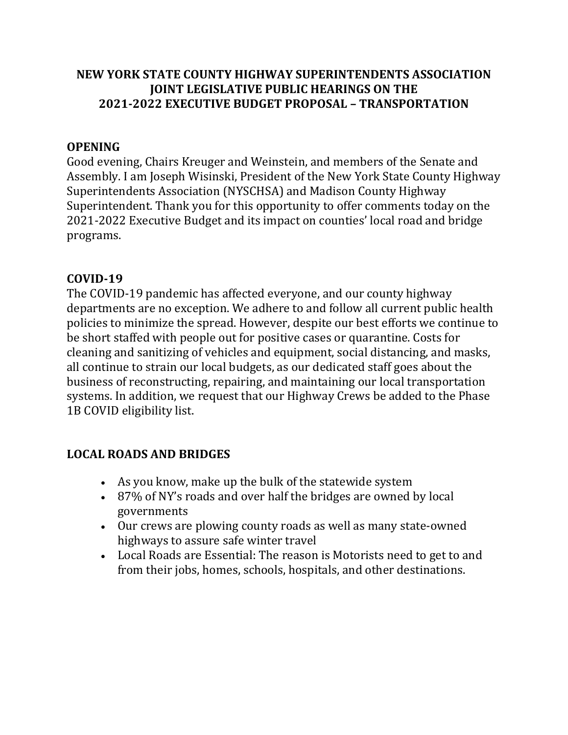## **NEW YORK STATE COUNTY HIGHWAY SUPERINTENDENTS ASSOCIATION JOINT LEGISLATIVE PUBLIC HEARINGS ON THE 2021-2022 EXECUTIVE BUDGET PROPOSAL – TRANSPORTATION**

## **OPENING**

Good evening, Chairs Kreuger and Weinstein, and members of the Senate and Assembly. I am Joseph Wisinski, President of the New York State County Highway Superintendents Association (NYSCHSA) and Madison County Highway Superintendent. Thank you for this opportunity to offer comments today on the 2021-2022 Executive Budget and its impact on counties' local road and bridge programs.

## **COVID-19**

The COVID-19 pandemic has affected everyone, and our county highway departments are no exception. We adhere to and follow all current public health policies to minimize the spread. However, despite our best efforts we continue to be short staffed with people out for positive cases or quarantine. Costs for cleaning and sanitizing of vehicles and equipment, social distancing, and masks, all continue to strain our local budgets, as our dedicated staff goes about the business of reconstructing, repairing, and maintaining our local transportation systems. In addition, we request that our Highway Crews be added to the Phase 1B COVID eligibility list.

## **LOCAL ROADS AND BRIDGES**

- As you know, make up the bulk of the statewide system
- 87% of NY's roads and over half the bridges are owned by local governments
- Our crews are plowing county roads as well as many state-owned highways to assure safe winter travel
- Local Roads are Essential: The reason is Motorists need to get to and from their jobs, homes, schools, hospitals, and other destinations.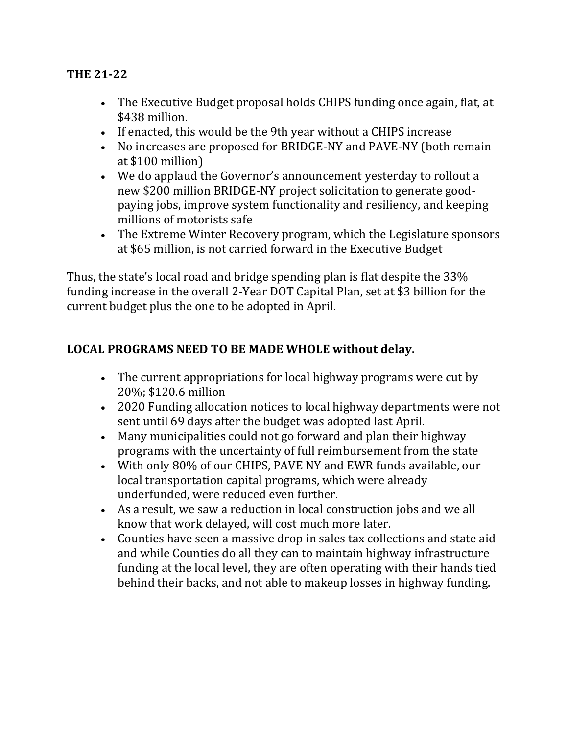## **THE 21-22**

- The Executive Budget proposal holds CHIPS funding once again, flat, at \$438 million.
- If enacted, this would be the 9th year without a CHIPS increase
- No increases are proposed for BRIDGE-NY and PAVE-NY (both remain at \$100 million)
- We do applaud the Governor's announcement yesterday to rollout a new \$200 million BRIDGE-NY project solicitation to generate goodpaying jobs, improve system functionality and resiliency, and keeping millions of motorists safe
- The Extreme Winter Recovery program, which the Legislature sponsors at \$65 million, is not carried forward in the Executive Budget

Thus, the state's local road and bridge spending plan is flat despite the 33% funding increase in the overall 2-Year DOT Capital Plan, set at \$3 billion for the current budget plus the one to be adopted in April.

## **LOCAL PROGRAMS NEED TO BE MADE WHOLE without delay.**

- The current appropriations for local highway programs were cut by 20%; \$120.6 million
- 2020 Funding allocation notices to local highway departments were not sent until 69 days after the budget was adopted last April.
- Many municipalities could not go forward and plan their highway programs with the uncertainty of full reimbursement from the state
- With only 80% of our CHIPS, PAVE NY and EWR funds available, our local transportation capital programs, which were already underfunded, were reduced even further.
- As a result, we saw a reduction in local construction jobs and we all know that work delayed, will cost much more later.
- Counties have seen a massive drop in sales tax collections and state aid and while Counties do all they can to maintain highway infrastructure funding at the local level, they are often operating with their hands tied behind their backs, and not able to makeup losses in highway funding.